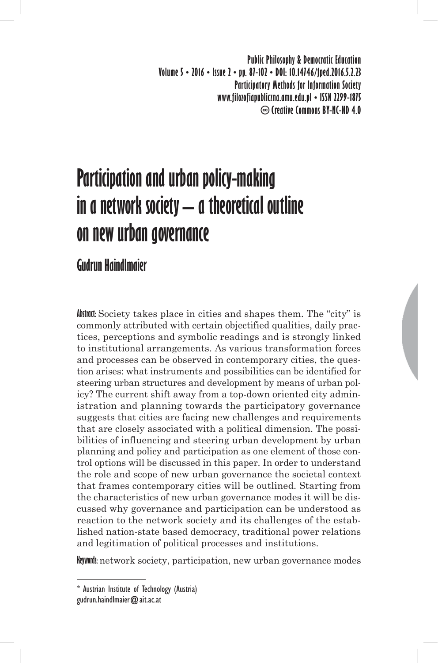**Public Philosophy & Democratic Education Volume 5 • 2016 • Issue 2 • pp. 87-102 • DOI: 10.14746/fped.2016.5.2.23 Participatory Methods for Information Society www.filozofiapubliczna.amu.edu.pl • ISSN 2299-1875 Creative Commons BY-NC-ND 4.0**

# **Participation and urban policy-making in a network society – a theoretical outline on new urban governance**

# **Gudrun Haindlmaier**

**Abstract:** Society takes place in cities and shapes them. The "city" is commonly attributed with certain objectified qualities, daily practices, perceptions and symbolic readings and is strongly linked to institutional arrangements. As various transformation forces and processes can be observed in contemporary cities, the question arises: what instruments and possibilities can be identified for steering urban structures and development by means of urban policy? The current shift away from a top-down oriented city administration and planning towards the participatory governance suggests that cities are facing new challenges and requirements that are closely associated with a political dimension. The possibilities of influencing and steering urban development by urban planning and policy and participation as one element of those control options will be discussed in this paper. In order to understand the role and scope of new urban governance the societal context that frames contemporary cities will be outlined. Starting from the characteristics of new urban governance modes it will be discussed why governance and participation can be understood as reaction to the network society and its challenges of the established nation-state based democracy, traditional power relations and legitimation of political processes and institutions.

**Keywords:** network society, participation, new urban governance modes

<sup>\*</sup> Austrian Institute of Technology (Austria) gudrun.haindlmaier@ait.ac.at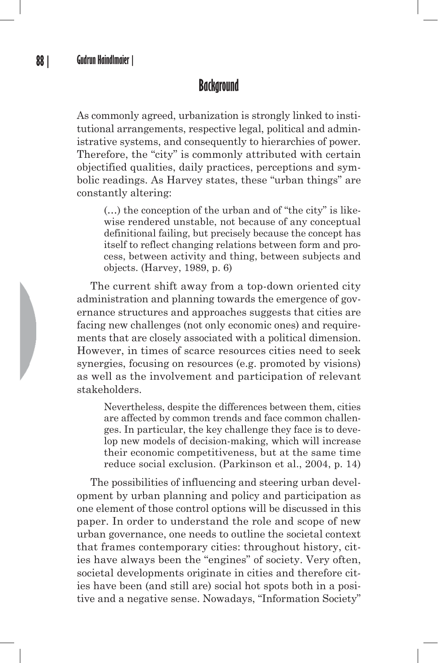#### **Background**

As commonly agreed, urbanization is strongly linked to institutional arrangements, respective legal, political and administrative systems, and consequently to hierarchies of power. Therefore, the "city" is commonly attributed with certain objectified qualities, daily practices, perceptions and symbolic readings. As Harvey states, these "urban things" are constantly altering:

(…) the conception of the urban and of "the city" is likewise rendered unstable, not because of any conceptual definitional failing, but precisely because the concept has itself to reflect changing relations between form and process, between activity and thing, between subjects and objects. (Harvey, 1989, p. 6)

The current shift away from a top-down oriented city administration and planning towards the emergence of governance structures and approaches suggests that cities are facing new challenges (not only economic ones) and requirements that are closely associated with a political dimension. However, in times of scarce resources cities need to seek synergies, focusing on resources (e.g. promoted by visions) as well as the involvement and participation of relevant stakeholders.

Nevertheless, despite the differences between them, cities are affected by common trends and face common challenges. In particular, the key challenge they face is to develop new models of decision-making, which will increase their economic competitiveness, but at the same time reduce social exclusion. (Parkinson et al., 2004, p. 14)

The possibilities of influencing and steering urban development by urban planning and policy and participation as one element of those control options will be discussed in this paper. In order to understand the role and scope of new urban governance, one needs to outline the societal context that frames contemporary cities: throughout history, cities have always been the "engines" of society. Very often, societal developments originate in cities and therefore cities have been (and still are) social hot spots both in a positive and a negative sense. Nowadays, "Information Society"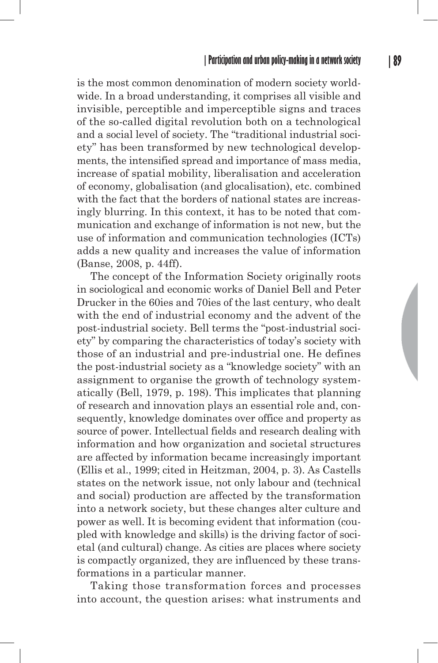is the most common denomination of modern society worldwide. In a broad understanding, it comprises all visible and invisible, perceptible and imperceptible signs and traces of the so-called digital revolution both on a technological and a social level of society. The "traditional industrial society" has been transformed by new technological developments, the intensified spread and importance of mass media, increase of spatial mobility, liberalisation and acceleration of economy, globalisation (and glocalisation), etc. combined with the fact that the borders of national states are increasingly blurring. In this context, it has to be noted that communication and exchange of information is not new, but the use of information and communication technologies (ICTs) adds a new quality and increases the value of information (Banse, 2008, p. 44ff).

The concept of the Information Society originally roots in sociological and economic works of Daniel Bell and Peter Drucker in the 60ies and 70ies of the last century, who dealt with the end of industrial economy and the advent of the post-industrial society. Bell terms the "post-industrial society" by comparing the characteristics of today's society with those of an industrial and pre-industrial one. He defines the post-industrial society as a "knowledge society" with an assignment to organise the growth of technology systematically (Bell, 1979, p. 198). This implicates that planning of research and innovation plays an essential role and, consequently, knowledge dominates over office and property as source of power. Intellectual fields and research dealing with information and how organization and societal structures are affected by information became increasingly important (Ellis et al., 1999; cited in Heitzman, 2004, p. 3). As Castells states on the network issue, not only labour and (technical and social) production are affected by the transformation into a network society, but these changes alter culture and power as well. It is becoming evident that information (coupled with knowledge and skills) is the driving factor of societal (and cultural) change. As cities are places where society is compactly organized, they are influenced by these transformations in a particular manner.

Taking those transformation forces and processes into account, the question arises: what instruments and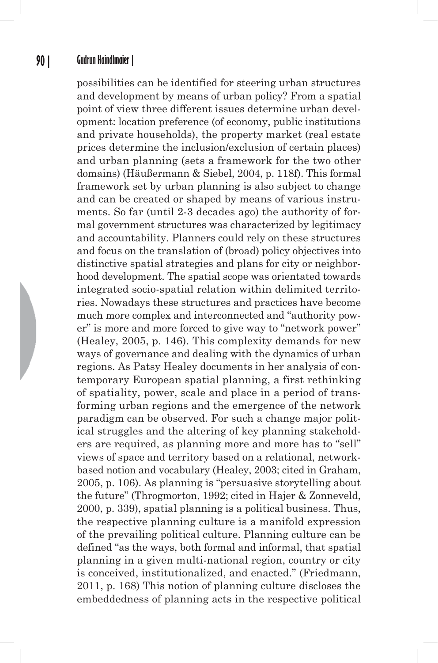#### **90 | Gudrun Haindlmaier |**

possibilities can be identified for steering urban structures and development by means of urban policy? From a spatial point of view three different issues determine urban development: location preference (of economy, public institutions and private households), the property market (real estate prices determine the inclusion/exclusion of certain places) and urban planning (sets a framework for the two other domains) (Häußermann & Siebel, 2004, p. 118f). This formal framework set by urban planning is also subject to change and can be created or shaped by means of various instruments. So far (until 2-3 decades ago) the authority of formal government structures was characterized by legitimacy and accountability. Planners could rely on these structures and focus on the translation of (broad) policy objectives into distinctive spatial strategies and plans for city or neighborhood development. The spatial scope was orientated towards integrated socio-spatial relation within delimited territories. Nowadays these structures and practices have become much more complex and interconnected and "authority power" is more and more forced to give way to "network power" (Healey, 2005, p. 146). This complexity demands for new ways of governance and dealing with the dynamics of urban regions. As Patsy Healey documents in her analysis of contemporary European spatial planning, a first rethinking of spatiality, power, scale and place in a period of transforming urban regions and the emergence of the network paradigm can be observed. For such a change major political struggles and the altering of key planning stakeholders are required, as planning more and more has to "sell" views of space and territory based on a relational, networkbased notion and vocabulary (Healey, 2003; cited in Graham, 2005, p. 106). As planning is "persuasive storytelling about the future" (Throgmorton, 1992; cited in Hajer & Zonneveld, 2000, p. 339), spatial planning is a political business. Thus, the respective planning culture is a manifold expression of the prevailing political culture. Planning culture can be defined "as the ways, both formal and informal, that spatial planning in a given multi-national region, country or city is conceived, institutionalized, and enacted." (Friedmann, 2011, p. 168) This notion of planning culture discloses the embeddedness of planning acts in the respective political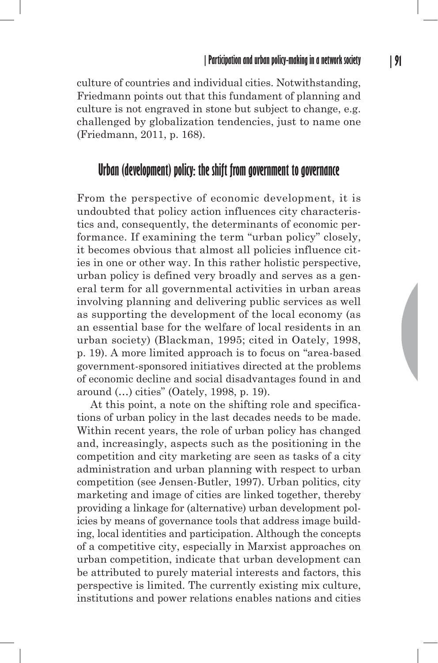culture of countries and individual cities. Notwithstanding, Friedmann points out that this fundament of planning and culture is not engraved in stone but subject to change, e.g. challenged by globalization tendencies, just to name one (Friedmann, 2011, p. 168).

# **Urban (development) policy: the shift from government to governance**

From the perspective of economic development, it is undoubted that policy action influences city characteristics and, consequently, the determinants of economic performance. If examining the term "urban policy" closely, it becomes obvious that almost all policies influence cities in one or other way. In this rather holistic perspective, urban policy is defined very broadly and serves as a general term for all governmental activities in urban areas involving planning and delivering public services as well as supporting the development of the local economy (as an essential base for the welfare of local residents in an urban society) (Blackman, 1995; cited in Oately, 1998, p. 19). A more limited approach is to focus on "area-based government-sponsored initiatives directed at the problems of economic decline and social disadvantages found in and around (…) cities" (Oately, 1998, p. 19).

At this point, a note on the shifting role and specifications of urban policy in the last decades needs to be made. Within recent years, the role of urban policy has changed and, increasingly, aspects such as the positioning in the competition and city marketing are seen as tasks of a city administration and urban planning with respect to urban competition (see Jensen-Butler, 1997). Urban politics, city marketing and image of cities are linked together, thereby providing a linkage for (alternative) urban development policies by means of governance tools that address image building, local identities and participation. Although the concepts of a competitive city, especially in Marxist approaches on urban competition, indicate that urban development can be attributed to purely material interests and factors, this perspective is limited. The currently existing mix culture, institutions and power relations enables nations and cities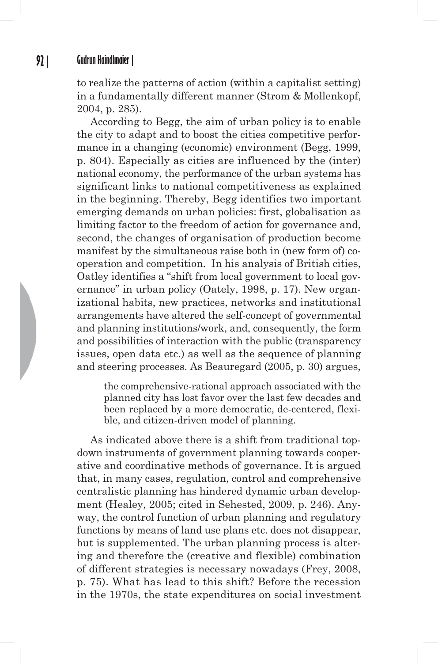to realize the patterns of action (within a capitalist setting) in a fundamentally different manner (Strom & Mollenkopf, 2004, p. 285).

According to Begg, the aim of urban policy is to enable the city to adapt and to boost the cities competitive performance in a changing (economic) environment (Begg, 1999, p. 804). Especially as cities are influenced by the (inter) national economy, the performance of the urban systems has significant links to national competitiveness as explained in the beginning. Thereby, Begg identifies two important emerging demands on urban policies: first, globalisation as limiting factor to the freedom of action for governance and, second, the changes of organisation of production become manifest by the simultaneous raise both in (new form of) cooperation and competition. In his analysis of British cities, Oatley identifies a "shift from local government to local governance" in urban policy (Oately, 1998, p. 17). New organizational habits, new practices, networks and institutional arrangements have altered the self-concept of governmental and planning institutions/work, and, consequently, the form and possibilities of interaction with the public (transparency issues, open data etc.) as well as the sequence of planning and steering processes. As Beauregard (2005, p. 30) argues,

the comprehensive-rational approach associated with the planned city has lost favor over the last few decades and been replaced by a more democratic, de-centered, flexible, and citizen-driven model of planning.

As indicated above there is a shift from traditional topdown instruments of government planning towards cooperative and coordinative methods of governance. It is argued that, in many cases, regulation, control and comprehensive centralistic planning has hindered dynamic urban development (Healey, 2005; cited in Sehested, 2009, p. 246). Anyway, the control function of urban planning and regulatory functions by means of land use plans etc. does not disappear, but is supplemented. The urban planning process is altering and therefore the (creative and flexible) combination of different strategies is necessary nowadays (Frey, 2008, p. 75). What has lead to this shift? Before the recession in the 1970s, the state expenditures on social investment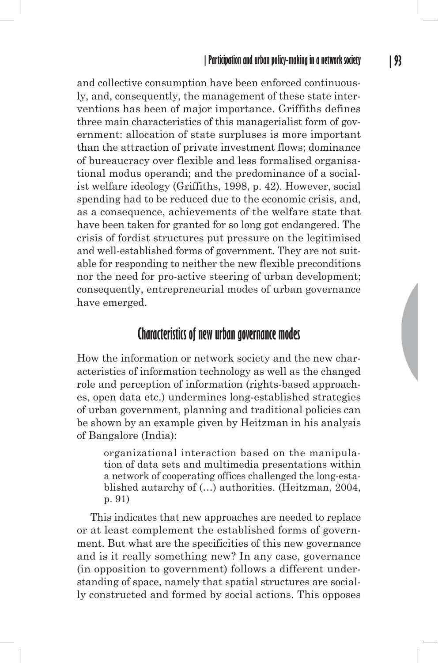and collective consumption have been enforced continuously, and, consequently, the management of these state interventions has been of major importance. Griffiths defines three main characteristics of this managerialist form of government: allocation of state surpluses is more important than the attraction of private investment flows; dominance of bureaucracy over flexible and less formalised organisational modus operandi; and the predominance of a socialist welfare ideology (Griffiths, 1998, p. 42). However, social spending had to be reduced due to the economic crisis, and, as a consequence, achievements of the welfare state that have been taken for granted for so long got endangered. The crisis of fordist structures put pressure on the legitimised and well-established forms of government. They are not suitable for responding to neither the new flexible preconditions nor the need for pro-active steering of urban development; consequently, entrepreneurial modes of urban governance have emerged.

#### **Characteristics of new urban governance modes**

How the information or network society and the new characteristics of information technology as well as the changed role and perception of information (rights-based approaches, open data etc.) undermines long-established strategies of urban government, planning and traditional policies can be shown by an example given by Heitzman in his analysis of Bangalore (India):

organizational interaction based on the manipulation of data sets and multimedia presentations within a network of cooperating offices challenged the long-established autarchy of (…) authorities. (Heitzman, 2004, p. 91)

This indicates that new approaches are needed to replace or at least complement the established forms of government. But what are the specificities of this new governance and is it really something new? In any case, governance (in opposition to government) follows a different understanding of space, namely that spatial structures are socially constructed and formed by social actions. This opposes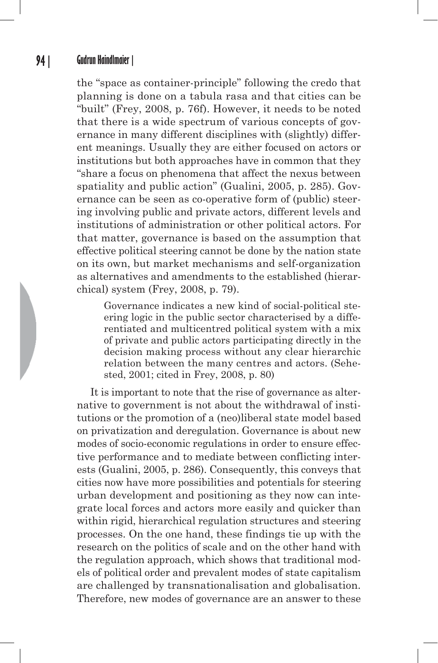#### **94 | Gudrun Haindlmaier |**

the "space as container-principle" following the credo that planning is done on a tabula rasa and that cities can be "built" (Frey, 2008, p. 76f). However, it needs to be noted that there is a wide spectrum of various concepts of governance in many different disciplines with (slightly) different meanings. Usually they are either focused on actors or institutions but both approaches have in common that they "share a focus on phenomena that affect the nexus between spatiality and public action" (Gualini, 2005, p. 285). Governance can be seen as co-operative form of (public) steering involving public and private actors, different levels and institutions of administration or other political actors. For that matter, governance is based on the assumption that effective political steering cannot be done by the nation state on its own, but market mechanisms and self-organization as alternatives and amendments to the established (hierarchical) system (Frey, 2008, p. 79).

Governance indicates a new kind of social-political steering logic in the public sector characterised by a differentiated and multicentred political system with a mix of private and public actors participating directly in the decision making process without any clear hierarchic relation between the many centres and actors. (Sehested, 2001; cited in Frey, 2008, p. 80)

It is important to note that the rise of governance as alternative to government is not about the withdrawal of institutions or the promotion of a (neo)liberal state model based on privatization and deregulation. Governance is about new modes of socio-economic regulations in order to ensure effective performance and to mediate between conflicting interests (Gualini, 2005, p. 286). Consequently, this conveys that cities now have more possibilities and potentials for steering urban development and positioning as they now can integrate local forces and actors more easily and quicker than within rigid, hierarchical regulation structures and steering processes. On the one hand, these findings tie up with the research on the politics of scale and on the other hand with the regulation approach, which shows that traditional models of political order and prevalent modes of state capitalism are challenged by transnationalisation and globalisation. Therefore, new modes of governance are an answer to these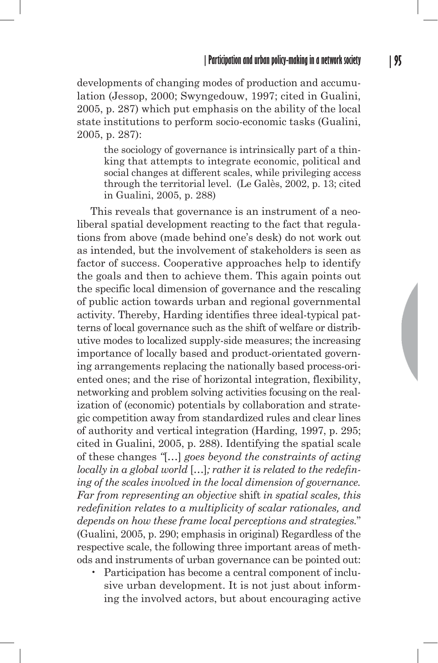developments of changing modes of production and accumulation (Jessop, 2000; Swyngedouw, 1997; cited in Gualini, 2005, p. 287) which put emphasis on the ability of the local state institutions to perform socio-economic tasks (Gualini, 2005, p. 287):

the sociology of governance is intrinsically part of a thinking that attempts to integrate economic, political and social changes at different scales, while privileging access through the territorial level. (Le Galès, 2002, p. 13; cited in Gualini, 2005, p. 288)

This reveals that governance is an instrument of a neoliberal spatial development reacting to the fact that regulations from above (made behind one's desk) do not work out as intended, but the involvement of stakeholders is seen as factor of success. Cooperative approaches help to identify the goals and then to achieve them. This again points out the specific local dimension of governance and the rescaling of public action towards urban and regional governmental activity. Thereby, Harding identifies three ideal-typical patterns of local governance such as the shift of welfare or distributive modes to localized supply-side measures; the increasing importance of locally based and product-orientated governing arrangements replacing the nationally based process-oriented ones; and the rise of horizontal integration, flexibility, networking and problem solving activities focusing on the realization of (economic) potentials by collaboration and strategic competition away from standardized rules and clear lines of authority and vertical integration (Harding, 1997, p. 295; cited in Gualini, 2005, p. 288). Identifying the spatial scale of these changes *"*[…] *goes beyond the constraints of acting locally in a global world* […]*; rather it is related to the redefining of the scales involved in the local dimension of governance. Far from representing an objective* shift *in spatial scales, this redefinition relates to a multiplicity of scalar rationales, and depends on how these frame local perceptions and strategies.*" (Gualini, 2005, p. 290; emphasis in original) Regardless of the respective scale, the following three important areas of methods and instruments of urban governance can be pointed out:

• Participation has become a central component of inclusive urban development. It is not just about informing the involved actors, but about encouraging active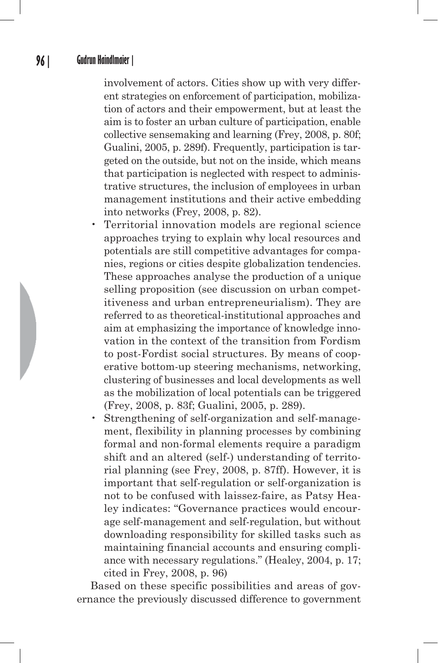involvement of actors. Cities show up with very different strategies on enforcement of participation, mobilization of actors and their empowerment, but at least the aim is to foster an urban culture of participation, enable collective sensemaking and learning (Frey, 2008, p. 80f; Gualini, 2005, p. 289f). Frequently, participation is targeted on the outside, but not on the inside, which means that participation is neglected with respect to administrative structures, the inclusion of employees in urban management institutions and their active embedding into networks (Frey, 2008, p. 82).

- Territorial innovation models are regional science approaches trying to explain why local resources and potentials are still competitive advantages for companies, regions or cities despite globalization tendencies. These approaches analyse the production of a unique selling proposition (see discussion on urban competitiveness and urban entrepreneurialism). They are referred to as theoretical-institutional approaches and aim at emphasizing the importance of knowledge innovation in the context of the transition from Fordism to post-Fordist social structures. By means of cooperative bottom-up steering mechanisms, networking, clustering of businesses and local developments as well as the mobilization of local potentials can be triggered (Frey, 2008, p. 83f; Gualini, 2005, p. 289).
- Strengthening of self-organization and self-management, flexibility in planning processes by combining formal and non-formal elements require a paradigm shift and an altered (self-) understanding of territorial planning (see Frey, 2008, p. 87ff). However, it is important that self-regulation or self-organization is not to be confused with laissez-faire, as Patsy Healey indicates: "Governance practices would encourage self-management and self-regulation, but without downloading responsibility for skilled tasks such as maintaining financial accounts and ensuring compliance with necessary regulations." (Healey, 2004, p. 17; cited in Frey, 2008, p. 96)

Based on these specific possibilities and areas of governance the previously discussed difference to government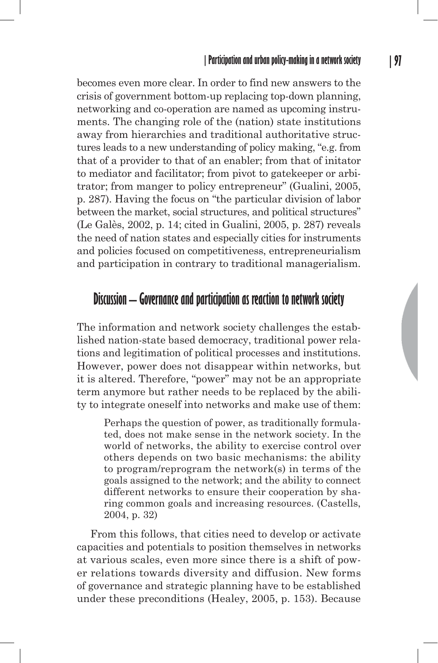becomes even more clear. In order to find new answers to the crisis of government bottom-up replacing top-down planning, networking and co-operation are named as upcoming instruments. The changing role of the (nation) state institutions away from hierarchies and traditional authoritative structures leads to a new understanding of policy making, "e.g. from that of a provider to that of an enabler; from that of initator to mediator and facilitator; from pivot to gatekeeper or arbitrator; from manger to policy entrepreneur" (Gualini, 2005, p. 287). Having the focus on "the particular division of labor between the market, social structures, and political structures" (Le Galès, 2002, p. 14; cited in Gualini, 2005, p. 287) reveals the need of nation states and especially cities for instruments and policies focused on competitiveness, entrepreneurialism and participation in contrary to traditional managerialism.

### **Discussion – Governance and participation as reaction to network society**

The information and network society challenges the established nation-state based democracy, traditional power relations and legitimation of political processes and institutions. However, power does not disappear within networks, but it is altered. Therefore, "power" may not be an appropriate term anymore but rather needs to be replaced by the ability to integrate oneself into networks and make use of them:

Perhaps the question of power, as traditionally formulated, does not make sense in the network society. In the world of networks, the ability to exercise control over others depends on two basic mechanisms: the ability to program/reprogram the network(s) in terms of the goals assigned to the network; and the ability to connect different networks to ensure their cooperation by sharing common goals and increasing resources. (Castells, 2004, p. 32)

From this follows, that cities need to develop or activate capacities and potentials to position themselves in networks at various scales, even more since there is a shift of power relations towards diversity and diffusion. New forms of governance and strategic planning have to be established under these preconditions (Healey, 2005, p. 153). Because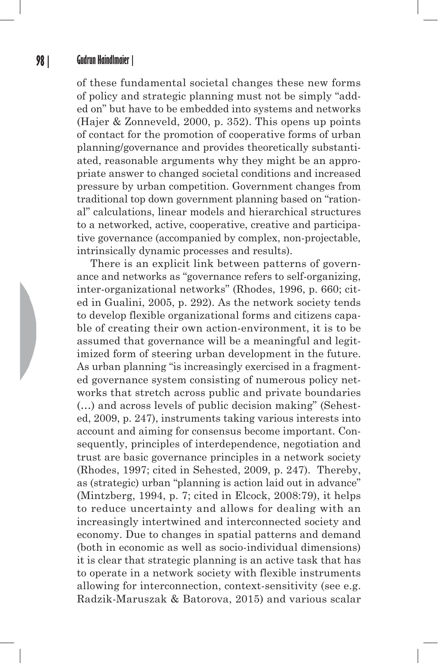of these fundamental societal changes these new forms of policy and strategic planning must not be simply "added on" but have to be embedded into systems and networks (Hajer & Zonneveld, 2000, p. 352). This opens up points of contact for the promotion of cooperative forms of urban planning/governance and provides theoretically substantiated, reasonable arguments why they might be an appropriate answer to changed societal conditions and increased pressure by urban competition. Government changes from traditional top down government planning based on "rational" calculations, linear models and hierarchical structures to a networked, active, cooperative, creative and participative governance (accompanied by complex, non-projectable, intrinsically dynamic processes and results).

There is an explicit link between patterns of governance and networks as "governance refers to self-organizing, inter-organizational networks" (Rhodes, 1996, p. 660; cited in Gualini, 2005, p. 292). As the network society tends to develop flexible organizational forms and citizens capable of creating their own action-environment, it is to be assumed that governance will be a meaningful and legitimized form of steering urban development in the future. As urban planning "is increasingly exercised in a fragmented governance system consisting of numerous policy networks that stretch across public and private boundaries (…) and across levels of public decision making" (Sehested, 2009, p. 247), instruments taking various interests into account and aiming for consensus become important. Consequently, principles of interdependence, negotiation and trust are basic governance principles in a network society (Rhodes, 1997; cited in Sehested, 2009, p. 247). Thereby, as (strategic) urban "planning is action laid out in advance" (Mintzberg, 1994, p. 7; cited in Elcock, 2008:79), it helps to reduce uncertainty and allows for dealing with an increasingly intertwined and interconnected society and economy. Due to changes in spatial patterns and demand (both in economic as well as socio-individual dimensions) it is clear that strategic planning is an active task that has to operate in a network society with flexible instruments allowing for interconnection, context-sensitivity (see e.g. Radzik-Maruszak & Batorova, 2015) and various scalar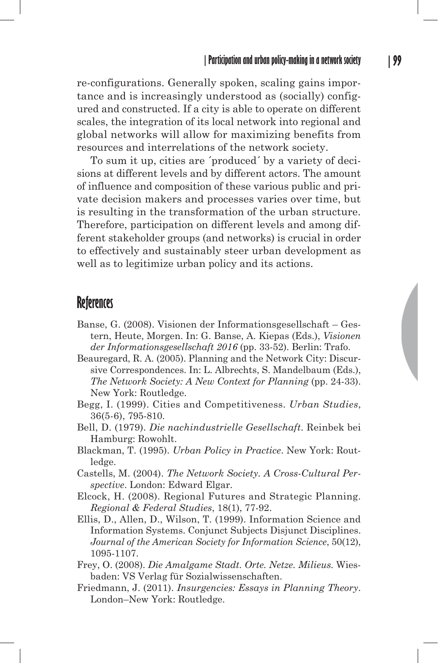re-configurations. Generally spoken, scaling gains importance and is increasingly understood as (socially) configured and constructed. If a city is able to operate on different scales, the integration of its local network into regional and global networks will allow for maximizing benefits from resources and interrelations of the network society.

To sum it up, cities are ´produced´ by a variety of decisions at different levels and by different actors. The amount of influence and composition of these various public and private decision makers and processes varies over time, but is resulting in the transformation of the urban structure. Therefore, participation on different levels and among different stakeholder groups (and networks) is crucial in order to effectively and sustainably steer urban development as well as to legitimize urban policy and its actions.

#### **References**

- Banse, G. (2008). Visionen der Informationsgesellschaft Gestern, Heute, Morgen. In: G. Banse, A. Kiepas (Eds.), *Visionen der Informationsgesellschaft 2016* (pp. 33-52). Berlin: Trafo.
- Beauregard, R. A. (2005). Planning and the Network City: Discursive Correspondences. In: L. Albrechts, S. Mandelbaum (Eds.), *The Network Society: A New Context for Planning* (pp. 24-33). New York: Routledge.
- Begg, I. (1999). Cities and Competitiveness. *Urban Studies*, 36(5-6), 795-810.
- Bell, D. (1979). *Die nachindustrielle Gesellschaft*. Reinbek bei Hamburg: Rowohlt.
- Blackman, T. (1995). *Urban Policy in Practice*. New York: Routledge.
- Castells, M. (2004). *The Network Society. A Cross-Cultural Perspective*. London: Edward Elgar.
- Elcock, H. (2008). Regional Futures and Strategic Planning. *Regional & Federal Studies*, 18(1), 77-92.
- Ellis, D., Allen, D., Wilson, T. (1999). Information Science and Information Systems. Conjunct Subjects Disjunct Disciplines. *Journal of the American Society for Information Science*, 50(12), 1095-1107.
- Frey, O. (2008). *Die Amalgame Stadt. Orte. Netze. Milieus.* Wiesbaden: VS Verlag für Sozialwissenschaften.
- Friedmann, J. (2011). *Insurgencies: Essays in Planning Theory*. London–New York: Routledge.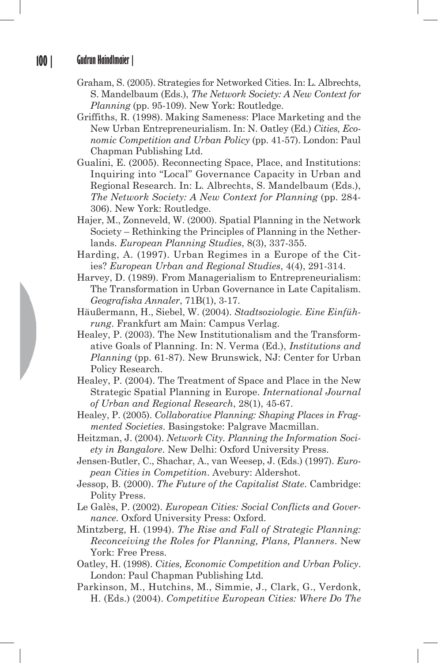- Graham, S. (2005). Strategies for Networked Cities. In: L. Albrechts, S. Mandelbaum (Eds.), *The Network Society: A New Context for Planning* (pp. 95-109). New York: Routledge.
- Griffiths, R. (1998). Making Sameness: Place Marketing and the New Urban Entrepreneurialism. In: N. Oatley (Ed.) *Cities, Economic Competition and Urban Policy* (pp. 41-57). London: Paul Chapman Publishing Ltd.
- Gualini, E. (2005). Reconnecting Space, Place, and Institutions: Inquiring into "Local" Governance Capacity in Urban and Regional Research. In: L. Albrechts, S. Mandelbaum (Eds.), *The Network Society: A New Context for Planning* (pp. 284- 306). New York: Routledge.
- Hajer, M., Zonneveld, W. (2000). Spatial Planning in the Network Society – Rethinking the Principles of Planning in the Netherlands. *European Planning Studies*, 8(3), 337-355.
- Harding, A. (1997). Urban Regimes in a Europe of the Cities? *European Urban and Regional Studies*, 4(4), 291-314.
- Harvey, D. (1989). From Managerialism to Entrepreneurialism: The Transformation in Urban Governance in Late Capitalism. *Geografiska Annaler*, 71B(1), 3-17.
- Häußermann, H., Siebel, W. (2004). *Stadtsoziologie. Eine Einführung*. Frankfurt am Main: Campus Verlag.
- Healey, P. (2003). The New Institutionalism and the Transformative Goals of Planning. In: N. Verma (Ed.), *Institutions and Planning* (pp. 61-87). New Brunswick, NJ: Center for Urban Policy Research.
- Healey, P. (2004). The Treatment of Space and Place in the New Strategic Spatial Planning in Europe. *International Journal of Urban and Regional Research*, 28(1), 45-67.
- Healey, P. (2005). *Collaborative Planning: Shaping Places in Fragmented Societies*. Basingstoke: Palgrave Macmillan.
- Heitzman, J. (2004). *Network City. Planning the Information Society in Bangalore*. New Delhi: Oxford University Press.
- Jensen-Butler, C., Shachar, A., van Weesep, J. (Eds.) (1997). *European Cities in Competition*. Avebury: Aldershot.
- Jessop, B. (2000). *The Future of the Capitalist State*. Cambridge: Polity Press.
- Le Galès, P. (2002). *European Cities: Social Conflicts and Governance*. Oxford University Press: Oxford.
- Mintzberg, H. (1994). *The Rise and Fall of Strategic Planning: Reconceiving the Roles for Planning, Plans, Planners*. New York: Free Press.
- Oatley, H. (1998). *Cities, Economic Competition and Urban Policy*. London: Paul Chapman Publishing Ltd.
- Parkinson, M., Hutchins, M., Simmie, J., Clark, G., Verdonk, H. (Eds.) (2004). *Competitive European Cities: Where Do The*